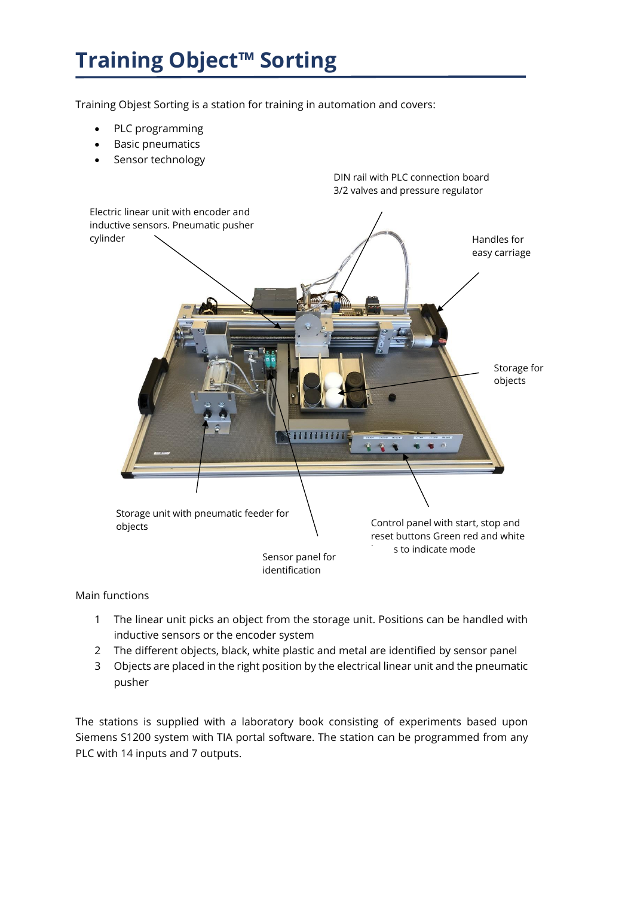## **Training Object™ Sorting**

Training Objest Sorting is a station for training in automation and covers:

- PLC programming
- Basic pneumatics
- Sensor technology



## Main functions

- 1 The linear unit picks an object from the storage unit. Positions can be handled with inductive sensors or the encoder system
- 2 The different objects, black, white plastic and metal are identified by sensor panel
- 3 Objects are placed in the right position by the electrical linear unit and the pneumatic pusher

The stations is supplied with a laboratory book consisting of experiments based upon Siemens S1200 system with TIA portal software. The station can be programmed from any PLC with 14 inputs and 7 outputs.